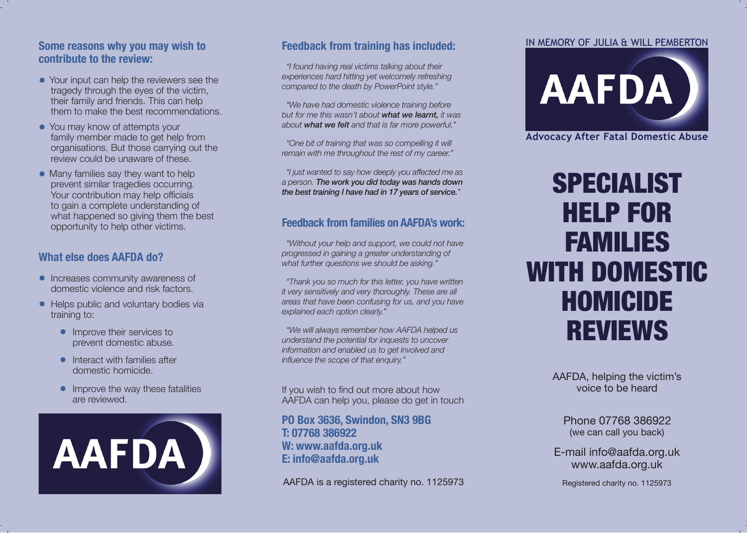#### **Some reasons why you may wish to contribute to the review:**

- Your input can help the reviewers see the tragedy through the eyes of the victim, their family and friends. This can help them to make the best recommendations.
- You may know of attempts your family member made to get help from organisations. But those carrying out the review could be unaware of these.
- Many families say they want to help prevent similar tragedies occurring. Your contribution may help officials to gain a complete understanding of what happened so giving them the best opportunity to help other victims.

### **What else does AAFDA do?**

- Increases community awareness of domestic violence and risk factors.
- Helps public and voluntary bodies via training to:
	- Improve their services to prevent domestic abuse.
	- Interact with families after domestic homicide.
	- Improve the way these fatalities are reviewed.



## **Feedback from training has included:**

 *"I found having real victims talking about their experiences hard hitting yet welcomely refreshing compared to the death by PowerPoint style."*

 *"We have had domestic violence training before but for me this wasn't about what we learnt, it was about what we felt and that is far more powerful."*

 *"One bit of training that was so compelling it will remain with me throughout the rest of my career."*

 *"I just wanted to say how deeply you afected me as a person. The work you did today was hands down the best training I have had in 17 years of service."*

### **Feedback from families on AAFDA's work:**

 *"Without your help and support, we could not have progressed in gaining a greater understanding of what further questions we should be asking."*

 *"Thank you so much for this letter, you have written it very sensitively and very thoroughly. These are all areas that have been confusing for us, and you have explained each option clearly."*

 *"We will always remember how AAFDA helped us understand the potential for inquests to uncover information and enabled us to get involved and infuence the scope of that enquiry."*

If you wish to find out more about how AAFDA can help you, please do get in touch

**PO Box 3636, Swindon, SN3 9BG T: 07768 386922 W: www.aafda.org.uk E: info@aafda.org.uk**

AAFDA is a registered charity no. 1125973

#### IN MEMORY OF JULIA & WILL PEMBERTON



**Advocacy After Fatal Domestic Abuse**

# SPECIALIST HELP FOR FAMILIES WITH DOMESTIC HOMICIDE REVIEWS

AAFDA, helping the victim's voice to be heard

(we can call you back) Phone 07768 386922

E-mail info@aafda.org.uk www.aafda.org.uk

Registered charity no. 1125973